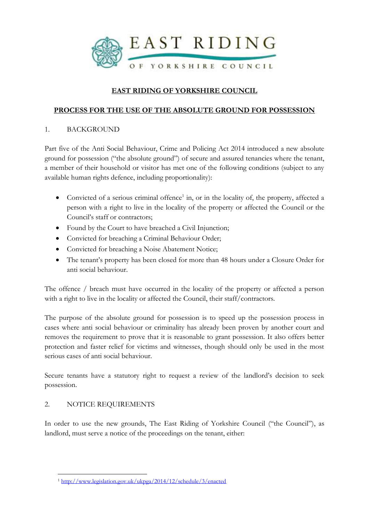

# **EAST RIDING OF YORKSHIRE COUNCIL**

### **PROCESS FOR THE USE OF THE ABSOLUTE GROUND FOR POSSESSION**

### 1. BACKGROUND

Part five of the Anti Social Behaviour, Crime and Policing Act 2014 introduced a new absolute ground for possession ("the absolute ground") of secure and assured tenancies where the tenant, a member of their household or visitor has met one of the following conditions (subject to any available human rights defence, including proportionality):

- Convicted of a serious criminal offence<sup>1</sup> in, or in the locality of, the property, affected a person with a right to live in the locality of the property or affected the Council or the Council's staff or contractors;
- Found by the Court to have breached a Civil Injunction;
- Convicted for breaching a Criminal Behaviour Order;
- Convicted for breaching a Noise Abatement Notice;
- The tenant's property has been closed for more than 48 hours under a Closure Order for anti social behaviour.

The offence / breach must have occurred in the locality of the property or affected a person with a right to live in the locality or affected the Council, their staff/contractors.

The purpose of the absolute ground for possession is to speed up the possession process in cases where anti social behaviour or criminality has already been proven by another court and removes the requirement to prove that it is reasonable to grant possession. It also offers better protection and faster relief for victims and witnesses, though should only be used in the most serious cases of anti social behaviour.

Secure tenants have a statutory right to request a review of the landlord's decision to seek possession.

### 2. NOTICE REQUIREMENTS

In order to use the new grounds, The East Riding of Yorkshire Council ("the Council"), as landlord, must serve a notice of the proceedings on the tenant, either:

 $\overline{a}$ <sup>1</sup> <http://www.legislation.gov.uk/ukpga/2014/12/schedule/3/enacted>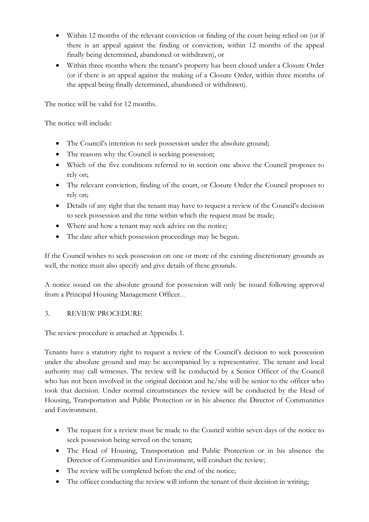- Within 12 months of the relevant conviction or finding of the court being relied on (or if there is an appeal against the finding or conviction, within 12 months of the appeal finally being determined, abandoned or withdrawn), or
- Within three months where the tenant's property has been closed under a Closure Order (or if there is an appeal against the making of a Closure Order, within three months of the appeal being finally determined, abandoned or withdrawn).

The notice will be valid for 12 months.

The notice will include:

- The Council's intention to seek possession under the absolute ground;
- The reasons why the Council is seeking possession;
- Which of the five conditions referred to in section one above the Council proposes to rely on;
- The relevant conviction, finding of the court, or Closure Order the Council proposes to rely on;
- Details of any right that the tenant may have to request a review of the Council's decision to seek possession and the time within which the request must be made;
- Where and how a tenant may seek advice on the notice;
- The date after which possession proceedings may be begun.

If the Council wishes to seek possession on one or more of the existing discretionary grounds as well, the notice must also specify and give details of these grounds.

A notice issued on the absolute ground for possession will only be issued following approval from a Principal Housing Management Officer. .

# 3. REVIEW PROCEDURE

The review procedure is attached at Appendix 1.

Tenants have a statutory right to request a review of the Council's decision to seek possession under the absolute ground and may be accompanied by a representative. The tenant and local authority may call witnesses. The review will be conducted by a Senior Officer of the Council who has not been involved in the original decision and he/she will be senior to the officer who took that decision. Under normal circumstances the review will be conducted by the Head of Housing, Transportation and Public Protection or in his absence the Director of Communities and Environment.

- The request for a review must be made to the Council within seven days of the notice to seek possession being served on the tenant;
- The Head of Housing, Transportation and Public Protection or in his absence the Director of Communities and Environment, will conduct the review;
- The review will be completed before the end of the notice;
- The officer conducting the review will inform the tenant of their decision in writing;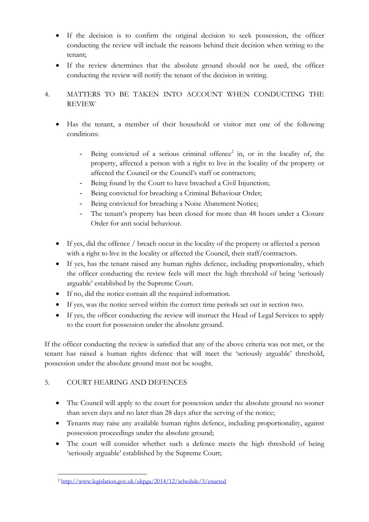- If the decision is to confirm the original decision to seek possession, the officer conducting the review will include the reasons behind their decision when writing to the tenant;
- If the review determines that the absolute ground should not be used, the officer conducting the review will notify the tenant of the decision in writing.
- 4. MATTERS TO BE TAKEN INTO ACCOUNT WHEN CONDUCTING THE REVIEW
	- Has the tenant, a member of their household or visitor met one of the following conditions:
		- Being convicted of a serious criminal offence<sup>2</sup> in, or in the locality of, the property, affected a person with a right to live in the locality of the property or affected the Council or the Council's staff or contractors;
		- Being found by the Court to have breached a Civil Injunction;
		- Being convicted for breaching a Criminal Behaviour Order;
		- Being convicted for breaching a Noise Abatement Notice;
		- The tenant's property has been closed for more than 48 hours under a Closure Order for anti social behaviour.
	- If yes, did the offence / breach occur in the locality of the property or affected a person with a right to live in the locality or affected the Council, their staff/contractors.
	- If yes, has the tenant raised any human rights defence, including proportionality, which the officer conducting the review feels will meet the high threshold of being 'seriously arguable' established by the Supreme Court.
	- If no, did the notice contain all the required information.
	- If yes, was the notice served within the correct time periods set out in section two.
	- If yes, the officer conducting the review will instruct the Head of Legal Services to apply to the court for possession under the absolute ground.

If the officer conducting the review is satisfied that any of the above criteria was not met, or the tenant has raised a human rights defence that will meet the 'seriously arguable' threshold, possession under the absolute ground must not be sought.

# 5. COURT HEARING AND DEFENCES

- The Council will apply to the court for possession under the absolute ground no sooner than seven days and no later than 28 days after the serving of the notice;
- Tenants may raise any available human rights defence, including proportionality, against possession proceedings under the absolute ground;
- The court will consider whether such a defence meets the high threshold of being 'seriously arguable' established by the Supreme Court;

 $\overline{a}$ <sup>2</sup> <http://www.legislation.gov.uk/ukpga/2014/12/schedule/3/enacted>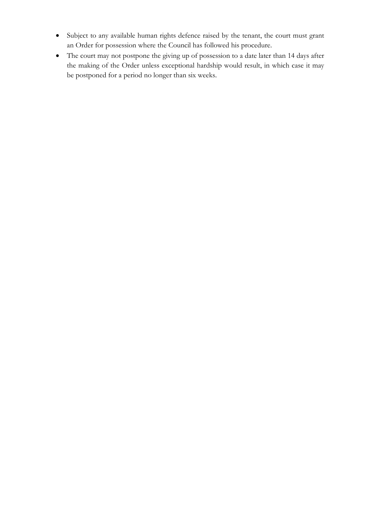- Subject to any available human rights defence raised by the tenant, the court must grant an Order for possession where the Council has followed his procedure.
- The court may not postpone the giving up of possession to a date later than 14 days after the making of the Order unless exceptional hardship would result, in which case it may be postponed for a period no longer than six weeks.